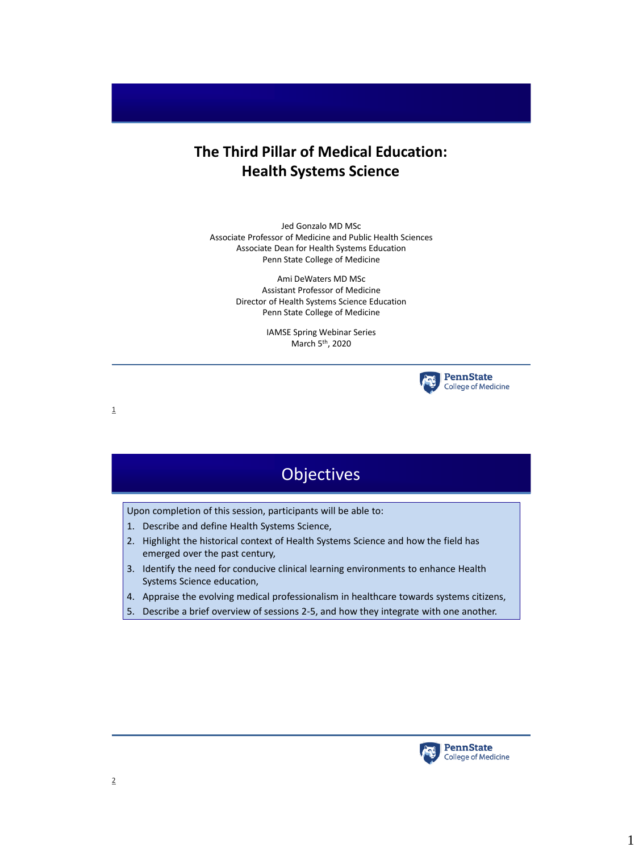#### **The Third Pillar of Medical Education: Health Systems Science**

Jed Gonzalo MD MSc Associate Professor of Medicine and Public Health Sciences Associate Dean for Health Systems Education Penn State College of Medicine

> Ami DeWaters MD MSc Assistant Professor of Medicine Director of Health Systems Science Education Penn State College of Medicine

> > IAMSE Spring Webinar Series March 5th, 2020



1



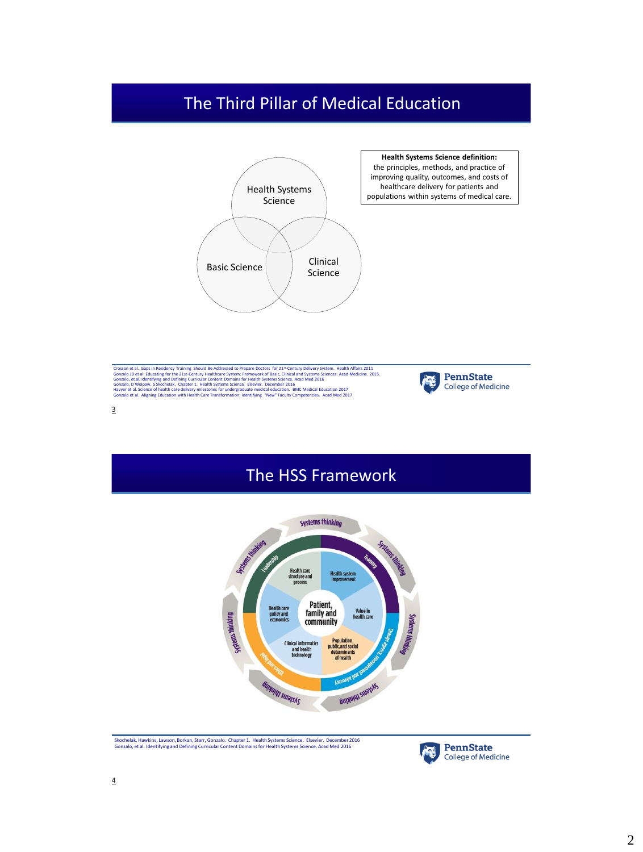# The Third Pillar of Medical Education



Crosson et al. Gaps in Residency Training Should Be Addressed to Prepare Doctors for 21<sup>st</sup>-Century Delivery System. Health Affairs 2011<br>Gonzalo, et al. deutschipp for the 21st-Century Healthcare System: Framework of Basic



### The HSS Framework



Skochelak, Hawkins, Lawson, Borkan, Starr, Gonzalo. Chapter 1. Health Systems Science. Elsevier. December 2016 Gonzalo, et al. Identifying and Defining Curricular Content Domains for Health Systems Science. Acad Med 2016

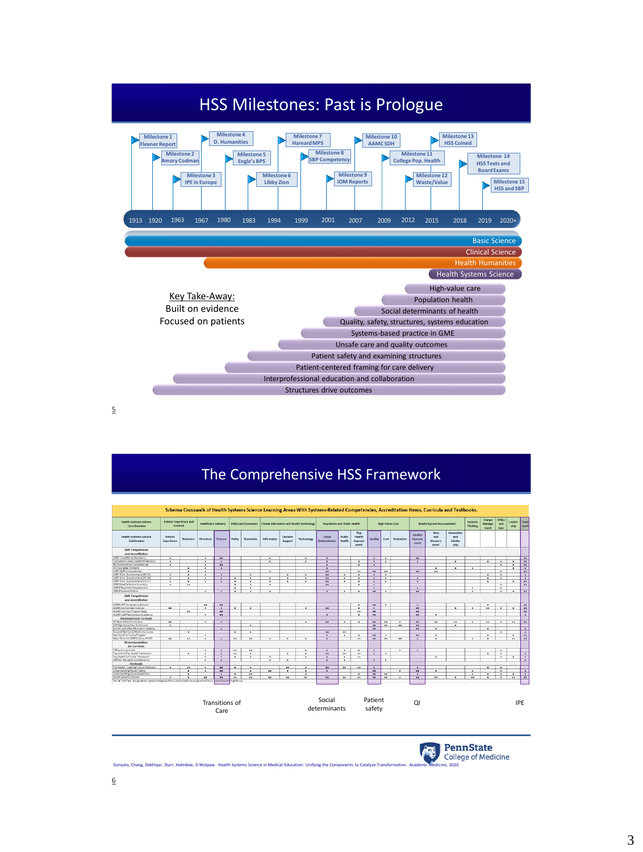

5

### The Comprehensive HSS Framework





Gonzalo, Chang, Dekhtyar, Starr, Holmboe, D Wolpaw. Health Systems Science in Medical Education: Unifying the Components to Catalyze Transformation. Academic Medicine, 2020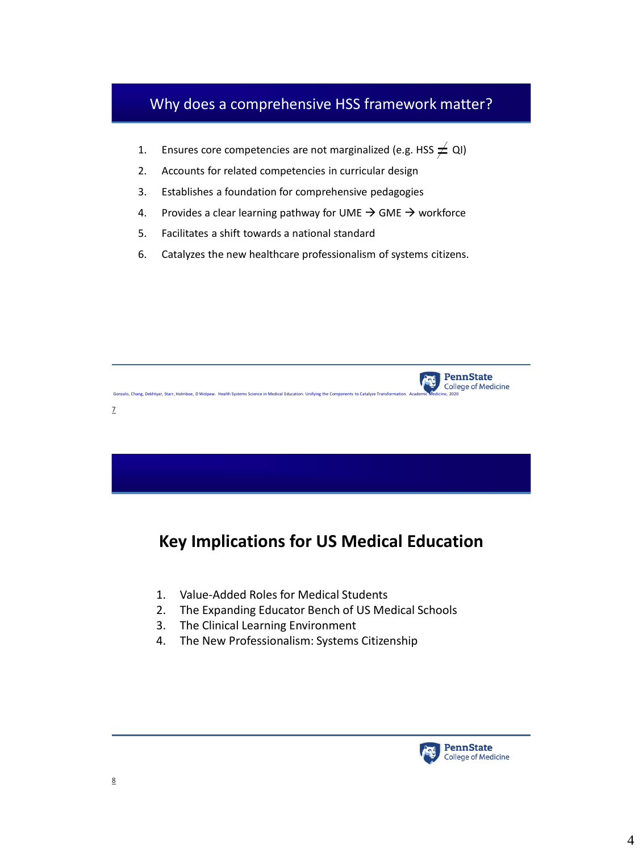### Why does a comprehensive HSS framework matter?

- 1. Ensures core competencies are not marginalized (e.g. HSS  $\neq$  QI)
- 2. Accounts for related competencies in curricular design
- 3. Establishes a foundation for comprehensive pedagogies
- 4. Provides a clear learning pathway for UME  $\rightarrow$  GME  $\rightarrow$  workforce
- 5. Facilitates a shift towards a national standard
- 6. Catalyzes the new healthcare professionalism of systems citizens.



# **Key Implications for US Medical Education**

- 1. Value-Added Roles for Medical Students
- 2. The Expanding Educator Bench of US Medical Schools
- 3. The Clinical Learning Environment
- 4. The New Professionalism: Systems Citizenship

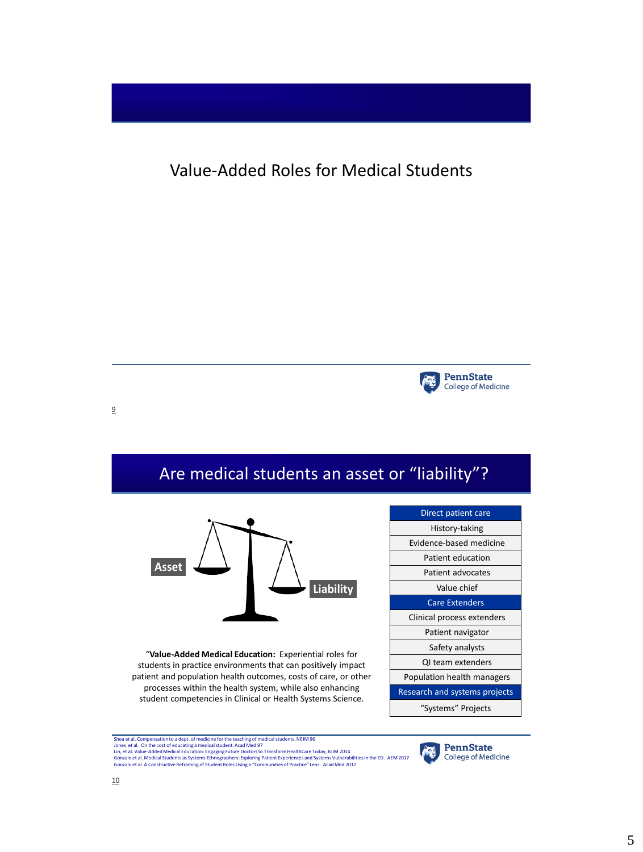Value-Added Roles for Medical Students



9



Shea et al. Compensation to a dept. of medicine for the teaching of medical students. NEJM 96 Jones et al. On the cost of educatings medical student. Acad Med 97<br>Lin, et al. Value-Added Medical Education: Engaging Future Doctors to Transform HealthCare Today, JGIM 2014<br>Gonzalo et al. AConstructive Reframing of Stu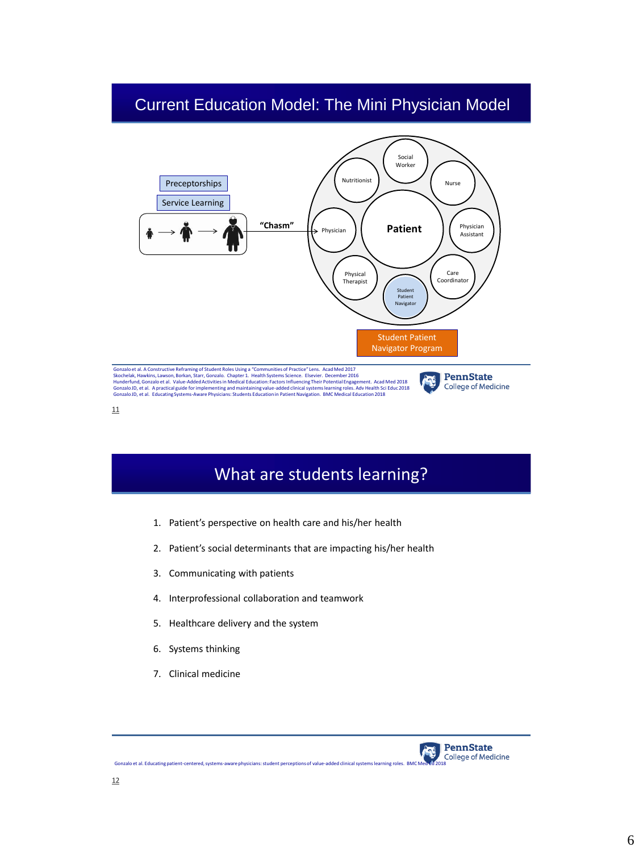### Current Education Model: The Mini Physician Model



11

# What are students learning?

- 1. Patient's perspective on health care and his/her health
- 2. Patient's social determinants that are impacting his/her health
- 3. Communicating with patients
- 4. Interprofessional collaboration and teamwork
- 5. Healthcare delivery and the system
- 6. Systems thinking
- 7. Clinical medicine

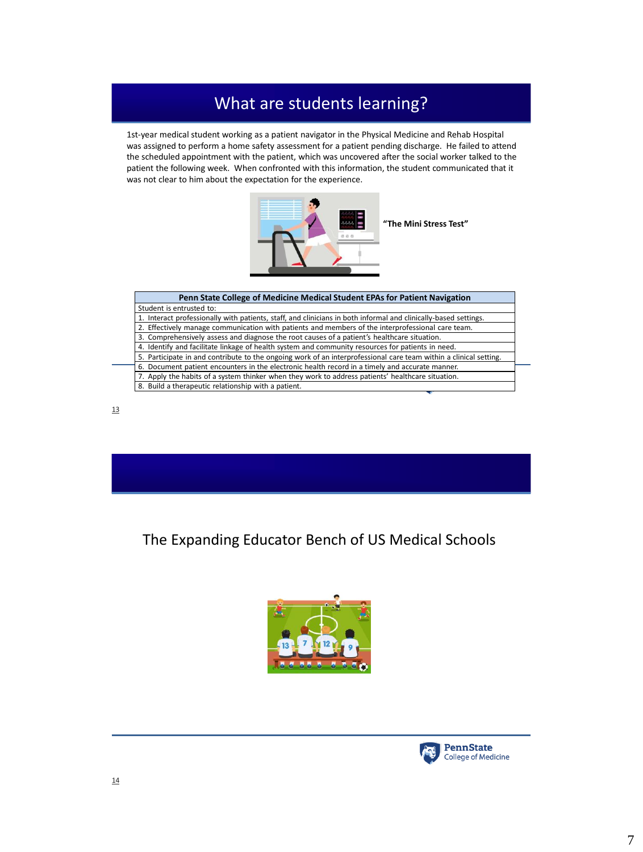# What are students learning?

1st-year medical student working as a patient navigator in the Physical Medicine and Rehab Hospital was assigned to perform a home safety assessment for a patient pending discharge. He failed to attend the scheduled appointment with the patient, which was uncovered after the social worker talked to the patient the following week. When confronted with this information, the student communicated that it was not clear to him about the expectation for the experience.



| Penn State College of Medicine Medical Student EPAs for Patient Navigation                                        |
|-------------------------------------------------------------------------------------------------------------------|
| Student is entrusted to:                                                                                          |
| 1. Interact professionally with patients, staff, and clinicians in both informal and clinically-based settings.   |
| 2. Effectively manage communication with patients and members of the interprofessional care team.                 |
| 3. Comprehensively assess and diagnose the root causes of a patient's healthcare situation.                       |
| 4. Identify and facilitate linkage of health system and community resources for patients in need.                 |
| 5. Participate in and contribute to the ongoing work of an interprofessional care team within a clinical setting. |
| 6. Document patient encounters in the electronic health record in a timely and accurate manner.                   |
| 7. Apply the habits of a system thinker when they work to address patients' healthcare situation.                 |
| 8. Build a therapeutic relationship with a patient.                                                               |
|                                                                                                                   |



The Expanding Educator Bench of US Medical Schools



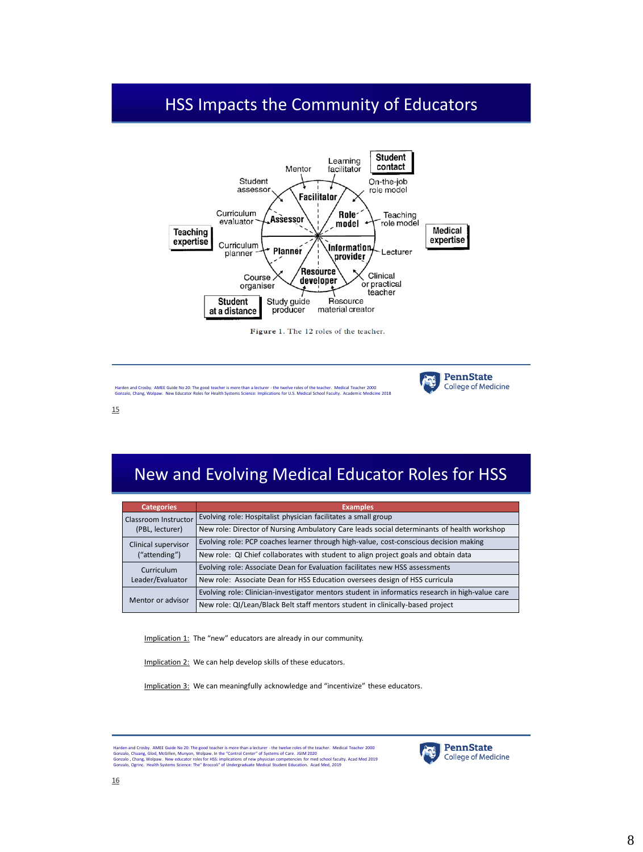# HSS Impacts the Community of Educators



Figure 1. The 12 roles of the teacher.



15

# New and Evolving Medical Educator Roles for HSS

| <b>Categories</b>                              | <b>Examples</b>                                                                                  |
|------------------------------------------------|--------------------------------------------------------------------------------------------------|
| <b>Classroom Instructor</b><br>(PBL, lecturer) | Evolving role: Hospitalist physician facilitates a small group                                   |
|                                                | New role: Director of Nursing Ambulatory Care leads social determinants of health workshop       |
| Clinical supervisor<br>("attending")           | Evolving role: PCP coaches learner through high-value, cost-conscious decision making            |
|                                                | New role: QI Chief collaborates with student to align project goals and obtain data              |
| Curriculum<br>Leader/Evaluator                 | Evolving role: Associate Dean for Evaluation facilitates new HSS assessments                     |
|                                                | New role: Associate Dean for HSS Education oversees design of HSS curricula                      |
| Mentor or advisor                              | Evolving role: Clinician-investigator mentors student in informatics research in high-value care |
|                                                | New role: QI/Lean/Black Belt staff mentors student in clinically-based project                   |

Implication 1: The "new" educators are already in our community.

Implication 2: We can help develop skills of these educators.

Implication 3: We can meaningfully acknowledge and "incentivize" these educators.

Harden and Crosby. AMEE Guide No 20: The good teacher is more than a lecturer - the twelve roles of the teacher. Medical Teacher 2000<br>Gonzalo, Chuang, Glod, McGillen, Munyon, Wolpaw. In the "Control Center" of Systems of C



**PennState** 

**College of Medicine** 

**ATE**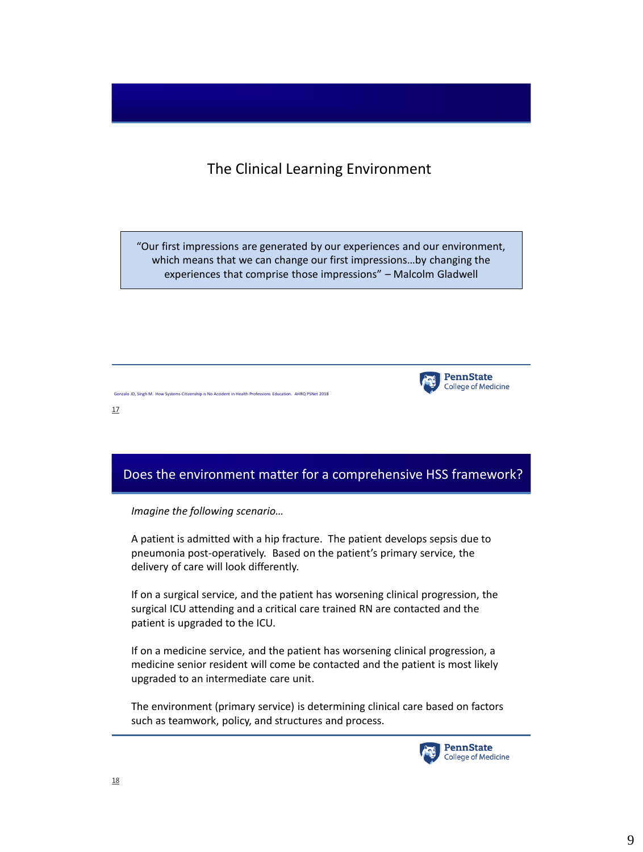#### The Clinical Learning Environment

"Our first impressions are generated by our experiences and our environment, which means that we can change our first impressions…by changing the experiences that comprise those impressions" – Malcolm Gladwell



17

### Does the environment matter for a comprehensive HSS framework?

*Imagine the following scenario…*

Gonzalo JD, Singh M. How Systems Citizenship is No Accident in Health Professions Education. AHRQ PSNet 2018

A patient is admitted with a hip fracture. The patient develops sepsis due to pneumonia post-operatively. Based on the patient's primary service, the delivery of care will look differently.

If on a surgical service, and the patient has worsening clinical progression, the surgical ICU attending and a critical care trained RN are contacted and the patient is upgraded to the ICU.

If on a medicine service, and the patient has worsening clinical progression, a medicine senior resident will come be contacted and the patient is most likely upgraded to an intermediate care unit.

The environment (primary service) is determining clinical care based on factors such as teamwork, policy, and structures and process.

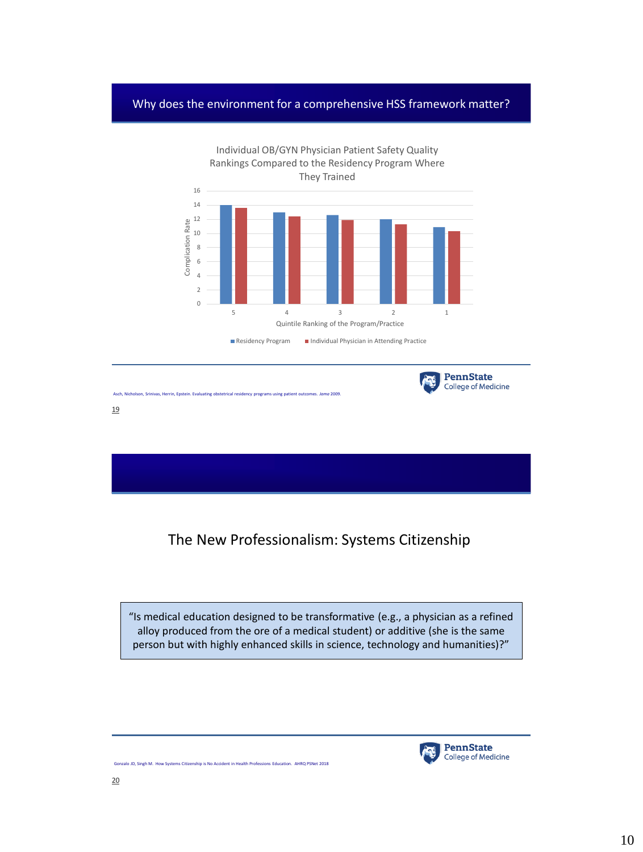#### Why does the environment for a comprehensive HSS framework matter?



19

Asch, Nicholson, Srinivas, Herrin, Epstein. Evaluating obstetrical residency programs using patient outcomes. *Jama* 2009.

Gonzalo JD, Singh M. How Systems Citizenship is No Accident in Health Professions Education. AHRQ PSNet 2018

The New Professionalism: Systems Citizenship

"Is medical education designed to be transformative (e.g., a physician as a refined alloy produced from the ore of a medical student) or additive (she is the same person but with highly enhanced skills in science, technology and humanities)?"



**College of Medicine**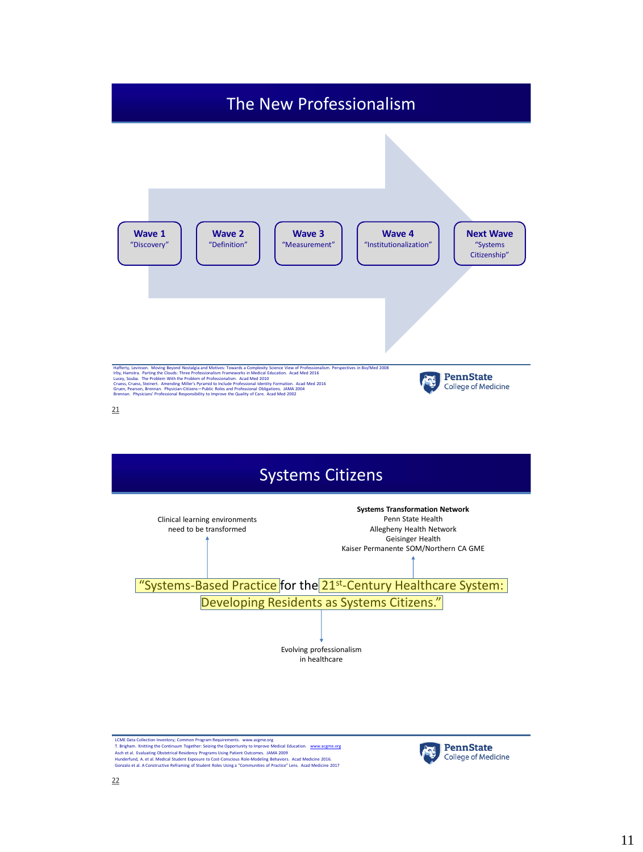



LCME Data Collection Inventory, Common Program Requirements. [www.acgme.org](http://www.acgme.org/)<br>A. Erigham. Knitting the Continuum Together: Seizing the Opportunity to Improve Medical Education. <u>www.acgme.org</u><br>Asch et al. Evaluating Obstetr